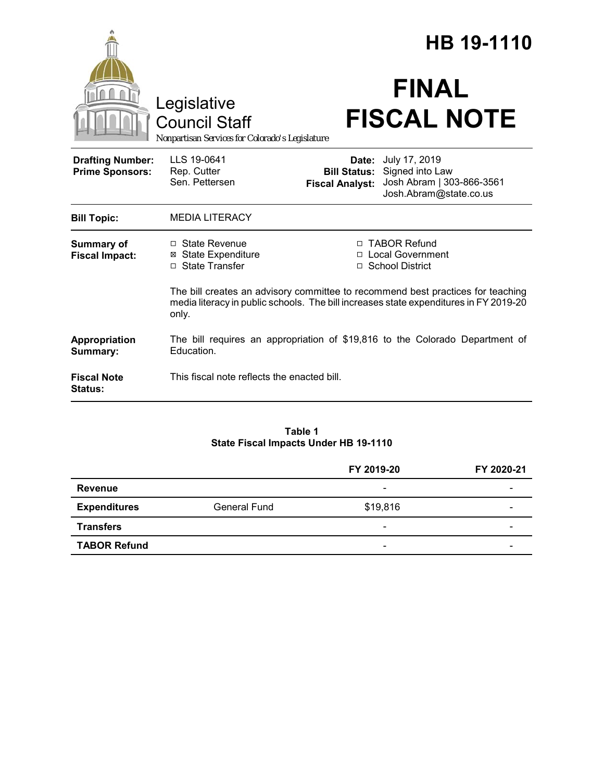|                                                   |                                                                                                |                                 | HB 19-1110                                                                                                                                   |  |
|---------------------------------------------------|------------------------------------------------------------------------------------------------|---------------------------------|----------------------------------------------------------------------------------------------------------------------------------------------|--|
|                                                   | Legislative<br><b>Council Staff</b><br>Nonpartisan Services for Colorado's Legislature         |                                 | <b>FINAL</b><br><b>FISCAL NOTE</b>                                                                                                           |  |
| <b>Drafting Number:</b><br><b>Prime Sponsors:</b> | LLS 19-0641<br>Rep. Cutter<br>Sen. Pettersen                                                   | Date:<br><b>Fiscal Analyst:</b> | July 17, 2019<br><b>Bill Status:</b> Signed into Law<br>Josh Abram   303-866-3561<br>Josh.Abram@state.co.us                                  |  |
| <b>Bill Topic:</b>                                | <b>MEDIA LITERACY</b>                                                                          |                                 |                                                                                                                                              |  |
| Summary of<br><b>Fiscal Impact:</b>               | $\Box$ State Revenue<br><b>State Expenditure</b><br>□ State Transfer                           |                                 | □ TABOR Refund<br>□ Local Government<br>□ School District<br>The bill creates an advisory committee to recommend best practices for teaching |  |
|                                                   | media literacy in public schools. The bill increases state expenditures in FY 2019-20<br>only. |                                 |                                                                                                                                              |  |
| <b>Appropriation</b><br>Summary:                  | The bill requires an appropriation of \$19,816 to the Colorado Department of<br>Education.     |                                 |                                                                                                                                              |  |
| <b>Fiscal Note</b><br>Status:                     | This fiscal note reflects the enacted bill.                                                    |                                 |                                                                                                                                              |  |

### **Table 1 State Fiscal Impacts Under HB 19-1110**

|                     |                     | FY 2019-20                   | FY 2020-21 |
|---------------------|---------------------|------------------------------|------------|
| Revenue             |                     | $\overline{\phantom{a}}$     |            |
| <b>Expenditures</b> | <b>General Fund</b> | \$19,816                     |            |
| <b>Transfers</b>    |                     | $\qquad \qquad \blacksquare$ |            |
| <b>TABOR Refund</b> |                     | $\overline{\phantom{0}}$     |            |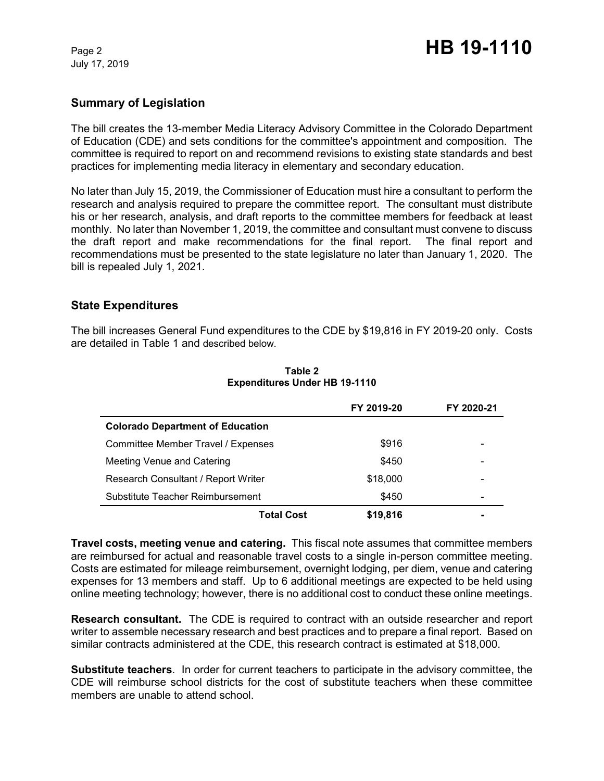July 17, 2019

# **Summary of Legislation**

The bill creates the 13-member Media Literacy Advisory Committee in the Colorado Department of Education (CDE) and sets conditions for the committee's appointment and composition. The committee is required to report on and recommend revisions to existing state standards and best practices for implementing media literacy in elementary and secondary education.

No later than July 15, 2019, the Commissioner of Education must hire a consultant to perform the research and analysis required to prepare the committee report. The consultant must distribute his or her research, analysis, and draft reports to the committee members for feedback at least monthly. No later than November 1, 2019, the committee and consultant must convene to discuss the draft report and make recommendations for the final report. The final report and recommendations must be presented to the state legislature no later than January 1, 2020. The bill is repealed July 1, 2021.

## **State Expenditures**

The bill increases General Fund expenditures to the CDE by \$19,816 in FY 2019-20 only. Costs are detailed in Table 1 and described below.

|                                         | FY 2019-20 | FY 2020-21 |
|-----------------------------------------|------------|------------|
| <b>Colorado Department of Education</b> |            |            |
| Committee Member Travel / Expenses      | \$916      |            |
| Meeting Venue and Catering              | \$450      |            |
| Research Consultant / Report Writer     | \$18,000   |            |
| Substitute Teacher Reimbursement        | \$450      |            |
| Total Cost                              | \$19,816   |            |

### **Table 2 Expenditures Under HB 19-1110**

**Travel costs, meeting venue and catering.** This fiscal note assumes that committee members are reimbursed for actual and reasonable travel costs to a single in-person committee meeting. Costs are estimated for mileage reimbursement, overnight lodging, per diem, venue and catering expenses for 13 members and staff. Up to 6 additional meetings are expected to be held using online meeting technology; however, there is no additional cost to conduct these online meetings.

**Research consultant.** The CDE is required to contract with an outside researcher and report writer to assemble necessary research and best practices and to prepare a final report. Based on similar contracts administered at the CDE, this research contract is estimated at \$18,000.

**Substitute teachers**. In order for current teachers to participate in the advisory committee, the CDE will reimburse school districts for the cost of substitute teachers when these committee members are unable to attend school.